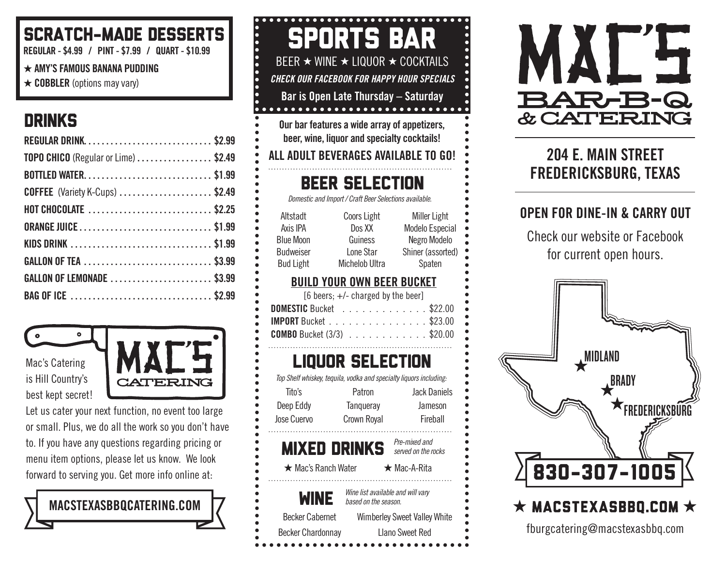# SCRATCH-MADE DESSERTS

**REGULAR - \$4.99 / PINT - \$7.99 / QUART - \$10.99**

- ★ **AMY'S FAMOUS BANANA PUDDING**
- ★ **COBBLER** (options may vary)

# DRINKS

| TOPO CHICO (Regular or Lime) \$2.49   |
|---------------------------------------|
|                                       |
| <b>COFFEE</b> (Variety K-Cups) \$2.49 |
| HOT CHOCOLATE \$2.25                  |
|                                       |
| KIDS DRINK \$1.99                     |
|                                       |
| GALLON OF LEMONADE \$3.99             |
|                                       |

Mac's Catering is Hill Country's best kept secret!



Let us cater your next function, no event too large or small. Plus, we do all the work so you don't have to. If you have any questions regarding pricing or menu item options, please let us know. We look forward to serving you. Get more info online at:



| $\bullet$<br>ð<br>$\ddot{\bullet}$<br>$\bullet$<br>$\ddot{\bullet}$<br>$\bullet$<br>$\bullet$ | 520365<br>BEER $\star$ WINE $\star$ LIQUOR $\star$ COCKTAILS<br>Check our facebook for Happy Hour Specials<br>Bar is Open Late Thursday - Saturday | <b>BAR</b>                                                                                   |
|-----------------------------------------------------------------------------------------------|----------------------------------------------------------------------------------------------------------------------------------------------------|----------------------------------------------------------------------------------------------|
|                                                                                               | Our bar features a wide array of appetizers,<br>beer, wine, liquor and specialty cocktails!<br>ALL ADULT BEVERAGES AVAILABLE TO GO!                |                                                                                              |
|                                                                                               | BEER SELECTION<br>Domestic and Import / Craft Beer Selections available.                                                                           |                                                                                              |
| Altstadt<br>Axis IPA<br><b>Blue Moon</b><br><b>Budweiser</b><br><b>Bud Light</b>              | Coors Light<br>Dos XX<br>Guiness<br>Lone Star<br>Michelob Ultra                                                                                    | <b>Miller Light</b><br><b>Modelo Especial</b><br>Negro Modelo<br>Shiner (assorted)<br>Spaten |
| <b>DOMESTIC Bucket</b><br><b>COMBO</b> Bucket (3/3)                                           | <u>BUILD YOUR OWN BEER BUCKET</u><br>[6 beers; +/- charged by the beer]<br><b>IMPORT</b> Bucket                                                    | \$22.00<br><b>Service</b><br>\$23.00<br>. \$20.00                                            |
| Tito's<br>Deep Eddy<br>Jose Cuervo                                                            | <b>LIQUOR SELECTION</b><br>Top Shelf whiskey, tequila, vodka and specialty liquors including:<br>Patron<br>Tangueray<br>Crown Royal                | <b>Jack Daniels</b><br>Jameson<br>Fireball                                                   |
| $\star$ Mac's Ranch Water                                                                     | <b>MIXED DRINKS</b>                                                                                                                                | Pre-mixed and<br>served on the rocks<br>$\star$ Mac-A-Rita                                   |
| <b>Becker Cabernet</b><br><b>Becker Chardonnay</b>                                            | Wine list available and will vary<br>based on the season.                                                                                          | <b>Wimberley Sweet Valley White</b><br>Llano Sweet Red                                       |



### **204 E. MAIN STREET FREDERICKSBURG, TEXAS**

#### **OPEN FOR DINE-IN & CARRY OUT**

Check our website or Facebook for current open hours.